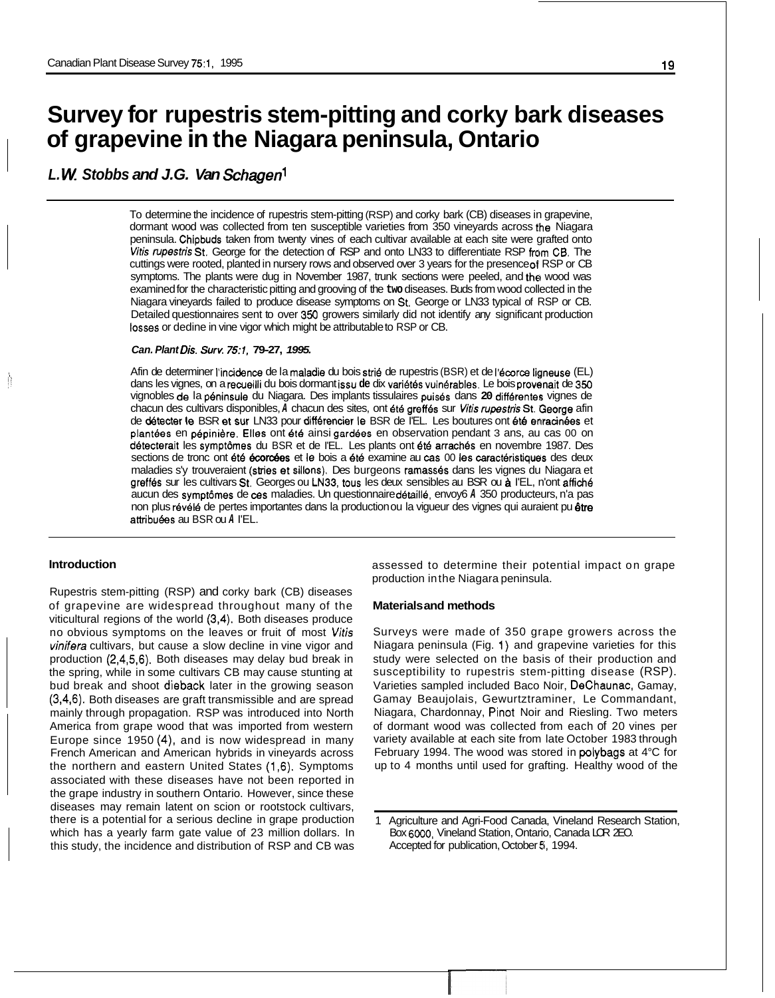# **Survey for rupestris stem-pitting and corky bark diseases of grapevine in the Niagara peninsula, Ontario**

# *L. W Stobbs and J.G. Van Schagenl*

To determine the incidence of rupestris stem-pitting (RSP) and corky bark (CB) diseases in grapevine, dormant wood was collected from ten susceptible varieties from 350 vineyards across the Niagara peninsula. Chipbuds taken from twenty vines of each cultivar available at each site were grafted onto *Wtis rupestris* St. George for the detection of RSP and onto LN33 to differentiate RSP from CB. The cuttings were rooted, planted in nursery rows and observed over 3 years for the presence **of** RSP or CB symptoms. The plants were dug in November 1987, trunk sections were peeled, and the wood was examined for the characteristic pitting and grooving of the **two** diseases. Buds from wood collected in the Niagara vineyards failed to produce disease symptoms on **St.** George or LN33 typical of RSP or CB. Detailed questionnaires sent to over 350 growers similarly did not identify any significant production **losses** or dedine in vine vigor which might be attributable to RSP or CB.

# *Can. Plant Dis. Surv. 75:1,* **79-27,** *1995.*

Afin de determiner l'incidence de la maladie du bois strié de rupestris (BSR) et de l'écorce ligneuse (EL) dans les vignes, on a recueilli du bois dormant issu **de** dix vari6t6s vuln6rables. Le bois provenait de 350 vignobles de la p6ninsule du Niagara. Des implants tissulaires puis6s dans **20** diffbrentes vignes de chacun des cultivars disponibles, *A* chacun des sites, ont 6t6 greff6s sur *Vitis rupestris* St. IGeorge afin de detecter le BSR et sur LN33 pour diff6rencier le BSR de I'EL. Les boutures ont **6t6** enracinees et plantees en pepinidre. Elles ont **6t6** ainsi gard6es en observation pendant 3 ans, au cas 00 on détecterait les symptômes du BSR et de l'EL. Les plants ont été arrachés en novembre 1987. Des sections de tronc ont été écorcées et le bois a été examine au cas 00 les caractéristiques des deux maladies s'y trouveraient (stries et sillons). Des burgeons ramasses dans les vignes du Niagara et greffes sur les cultivars **St.** Georges ou LN33, tous les deux sensibles au BSR ou & I'EL, n'ont affich6 aucun des symptdmes de **ces** maladies. Un questionnaire d6taill6, envoy6 *A* 350 producteurs, n'a pas non plus révélé de pertes importantes dans la production ou la vigueur des vignes qui auraient pu être attribuées au BSR ou *A* l'EL.

## **Introduction**

Ŕ

Rupestris stem-pitting (RSP) and corky bark (CB) diseases of grapevine are widespread throughout many of the viticultural regions of the world (3,4). Both diseases produce no obvious symptoms on the leaves or fruit of most *Vitis vinifera* cultivars, but cause a slow decline in vine vigor and production (2,4,5,6). Both diseases may delay bud break in the spring, while in some cultivars CB may cause stunting at bud break and shoot dieback later in the growing season (3,4,6). Both diseases are graft transmissible and are spread mainly through propagation. RSP was introduced into North America from grape wood that was imported from western Europe since 1950 **(4),** and is now widespread in many French American and American hybrids in vineyards across the northern and eastern United States (1,6). Symptoms associated with these diseases have not been reported in the grape industry in southern Ontario. However, since these diseases may remain latent on scion or rootstock cultivars, there is a potential for a serious decline in grape production which has a yearly farm gate value of 23 million dollars. In this study, the incidence and distribution of RSP and CB was assessed to determine their potential impact on grape production in the Niagara peninsula.

#### **Materials and methods**

Surveys were made of 350 grape growers across the Niagara peninsula (Fig. 1) and grapevine varieties for this study were selected on the basis of their production and susceptibility to rupestris stem-pitting disease (RSP). Varieties sampled included Baco Noir, DeChaunac, Gamay, Gamay Beaujolais, Gewurtztraminer, Le Commandant, Niagara, Chardonnay, Pinot Noir and Riesling. Two meters of dormant wood was collected from each of 20 vines per variety available at each site from late October 1983 through February 1994. The wood was stored in polybags at 4°C for up to 4 months until used for grafting. Healthy wood of the

<sup>1</sup> Agriculture and Agri-Food Canada, Vineland Research Station, Box *6000,* Vineland Station, Ontario, Canada LOR 2EO. Accepted for publication, October **6,** 1994.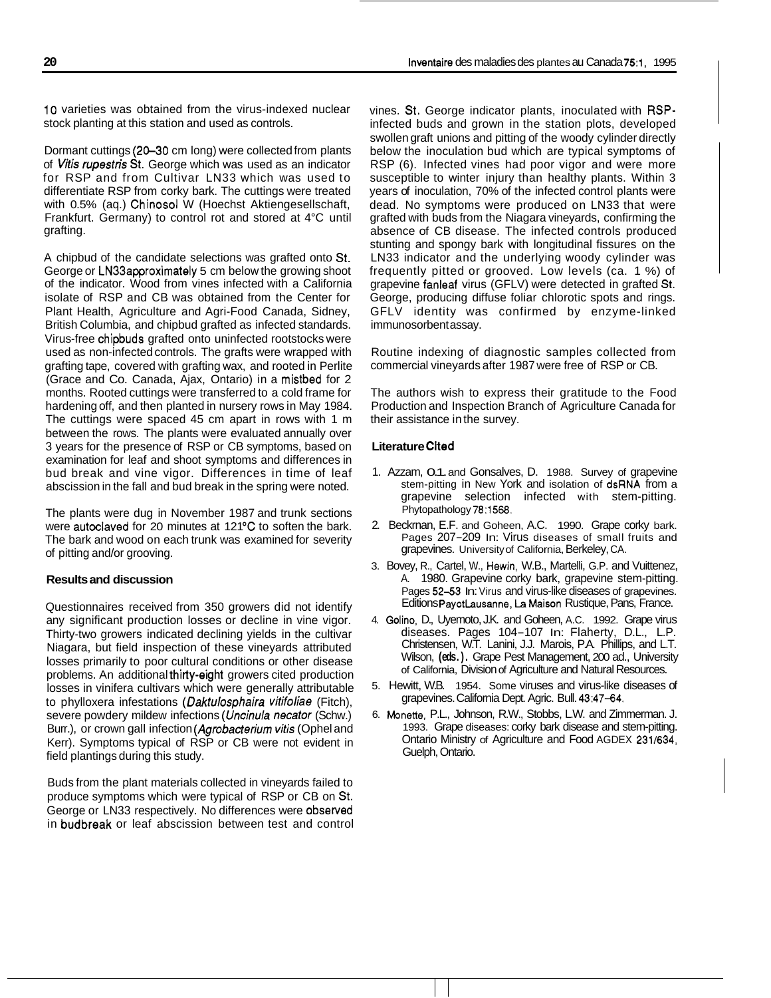10 varieties was obtained from the virus-indexed nuclear stock planting at this station and used as controls.

Dormant cuttings (20-30 cm long) were collected from plants of *Vitis rupestris* St. George which was used as an indicator for RSP and from Cultivar LN33 which was used to differentiate RSP from corky bark. The cuttings were treated with 0.5% (aq.) Chinosol W (Hoechst Aktiengesellschaft, Frankfurt. Germany) to control rot and stored at 4°C until grafting.

A chipbud of the candidate selections was grafted onto St. George or LN33approximately 5 cm below the growing shoot of the indicator. Wood from vines infected with a California isolate of RSP and CB was obtained from the Center for Plant Health, Agriculture and Agri-Food Canada, Sidney, British Columbia, and chipbud grafted as infected standards. Virus-free chipbuds grafted onto uninfected rootstocks were used as non-infected controls. The grafts were wrapped with grafting tape, covered with grafting wax, and rooted in Perlite (Grace and Co. Canada, Ajax, Ontario) in a mistbed for 2 months. Rooted cuttings were transferred to a cold frame for hardening off, and then planted in nursery rows in May 1984. The cuttings were spaced 45 cm apart in rows with 1 m between the rows. The plants were evaluated annually over 3 years for the presence of RSP or CB symptoms, based on examination for leaf and shoot symptoms and differences in bud break and vine vigor. Differences in time of leaf abscission in the fall and bud break in the spring were noted.

The plants were dug in November 1987 and trunk sections were autoclaved for 20 minutes at 121°C to soften the bark. The bark and wood on each trunk was examined for severity of pitting and/or grooving.

### **Results and discussion**

Questionnaires received from 350 growers did not identify any significant production losses or decline in vine vigor. Thirty-two growers indicated declining yields in the cultivar Niagara, but field inspection of these vineyards attributed losses primarily to poor cultural conditions or other disease problems. An additional thirty-eight growers cited production losses in vinifera cultivars which were generally attributable to phylloxera infestations *(Daktulosphaira vitifoliae (Fitch)*, severe powdery mildew infections *(Uncinula necator* (Schw.) Burr.), or crown gall infection *(Agrobacterium witis* (Ophel and Kerr). Symptoms typical of RSP or CB were not evident in field plantings during this study.

Buds from the plant materials collected in vineyards failed to produce symptoms which were typical of RSP or CB on St. George or LN33 respectively. No differences were obsewed in budbreak or leaf abscission between test and control vines. St. George indicator plants, inoculated with RSPinfected buds and grown in the station plots, developed swollen graft unions and pitting of the woody cylinder directly below the inoculation bud which are typical symptoms of RSP (6). Infected vines had poor vigor and were more susceptible to winter injury than healthy plants. Within 3 years of inoculation, 70% of the infected control plants were dead. No symptoms were produced on LN33 that were grafted with buds from the Niagara vineyards, confirming the absence of CB disease. The infected controls produced stunting and spongy bark with longitudinal fissures on the LN33 indicator and the underlying woody cylinder was frequently pitted or grooved. Low levels (ca. 1 %) of grapevine fanleaf virus (GFLV) were detected in grafted St. George, producing diffuse foliar chlorotic spots and rings. GFLV identity was confirmed by enzyme-linked immunosorbent assay.

Routine indexing of diagnostic samples collected from commercial vineyards after 1987 were free of RSP or CB.

The authors wish to express their gratitude to the Food Production and Inspection Branch of Agriculture Canada for their assistance in the survey.

#### **Literature Cited**

- 1. Azzam, 0.1. and Gonsalves, D. 1988. Survey of grapevine stem-pitting in New York and isolation of dsRNA from a grapevine selection infected with stem-pitting. Phytopathology 78:1568.
- 2. Beckrnan, E.F. and Goheen, A.C. 1990. Grape corky bark. Pages 207-209 In: Virus diseases of small fruits and grapevines. University of California, Berkeley, CA.
- 3. Bovey, R., Cartel, W., Hewin, W.B., Martelli, G.P. and Vuittenez, A. 1980. Grapevine corky bark, grapevine stem-pitting. Pages 52-53 In: Virus and virus-like diseases of grapevines. Editions PayotLausanne, La Maison Rustique, Pans, France.
- 4. Golino, D., Uyemoto, J.K. and Goheen, A.C. 1992. Grape virus diseases. Pages 104-107 In: Flaherty, D.L., L.P. Christensen, W.T. Lanini, J.J. Marois, P.A. Phillips, and L.T. Wilson, **(eds.).** Grape Pest Management, 200 ad., University of California, Division of Agriculture and Natural Resources.
- 5. Hewitt, W.B. 1954. Some viruses and virus-like diseases of grapevines. California Dept. Agric. Bull. 43:47-64.
- 6. Monette, P.L., Johnson, R.W., Stobbs, L.W. and Zimmerman. J. 1993. Grape diseases: corky bark disease and stem-pitting. Ontario Ministry of Agriculture and Food AGDEX 231/634, Guelph, Ontario.